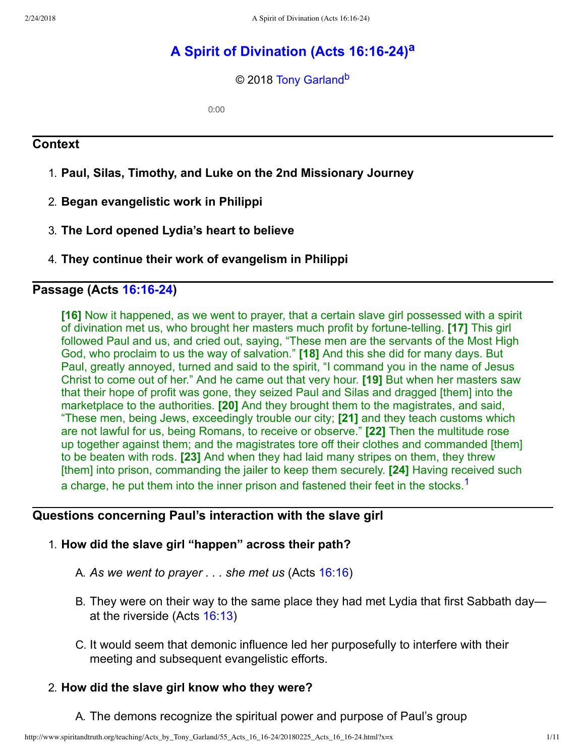# **[A Spirit of Divination \(Acts 16:1624\)](http://www.spiritandtruth.org/teaching/Acts_by_Tony_Garland/55_Acts_16_16-24/index.htm)[a](#page-10-0)**

<span id="page-0-2"></span><span id="page-0-1"></span>© 2018 [Tony Garland](http://www.spiritandtruth.org/id/tg.htm)<sup>[b](#page-10-1)</sup>

0:00

## **Context**

- 1. **Paul, Silas, Timothy, and Luke on the 2nd Missionary Journey**
- 2. **Began evangelistic work in Philippi**
- 3. **The Lord opened Lydia's heart to believe**
- 4. **They continue their work of evangelism in Philippi**

## **Passage (Acts [16:1624\)](http://www.spiritandtruth.org/bibles/nasb/b44c016.htm#Acts_C16V16)**

**[16]** Now it happened, as we went to prayer, that a certain slave girl possessed with a spirit of divination met us, who brought her masters much profit by fortunetelling. **[17]** This girl followed Paul and us, and cried out, saying, "These men are the servants of the Most High God, who proclaim to us the way of salvation." **[18]** And this she did for many days. But Paul, greatly annoyed, turned and said to the spirit, "I command you in the name of Jesus Christ to come out of her." And he came out that very hour. **[19]** But when her masters saw that their hope of profit was gone, they seized Paul and Silas and dragged [them] into the marketplace to the authorities. **[20]** And they brought them to the magistrates, and said, "These men, being Jews, exceedingly trouble our city; **[21]** and they teach customs which are not lawful for us, being Romans, to receive or observe." **[22]** Then the multitude rose up together against them; and the magistrates tore off their clothes and commanded [them] to be beaten with rods. **[23]** And when they had laid many stripes on them, they threw [them] into prison, commanding the jailer to keep them securely. **[24]** Having received such a charge, he put them into the inner prison and fastened their feet in the stocks.<sup>[1](#page-9-0)</sup>

## **Questions concerning Paul's interaction with the slave girl**

### 1. **How did the slave girl "happen" across their path?**

- <span id="page-0-0"></span>A. *As we went to prayer . . . she met us* (Acts [16:16](http://www.spiritandtruth.org/bibles/nasb/b44c016.htm#Acts_C16V16))
- B. They were on their way to the same place they had met Lydia that first Sabbath day at the riverside (Acts [16:13\)](http://www.spiritandtruth.org/bibles/nasb/b44c016.htm#Acts_C16V13)
- C. It would seem that demonic influence led her purposefully to interfere with their meeting and subsequent evangelistic efforts.

## 2. **How did the slave girl know who they were?**

A. The demons recognize the spiritual power and purpose of Paul's group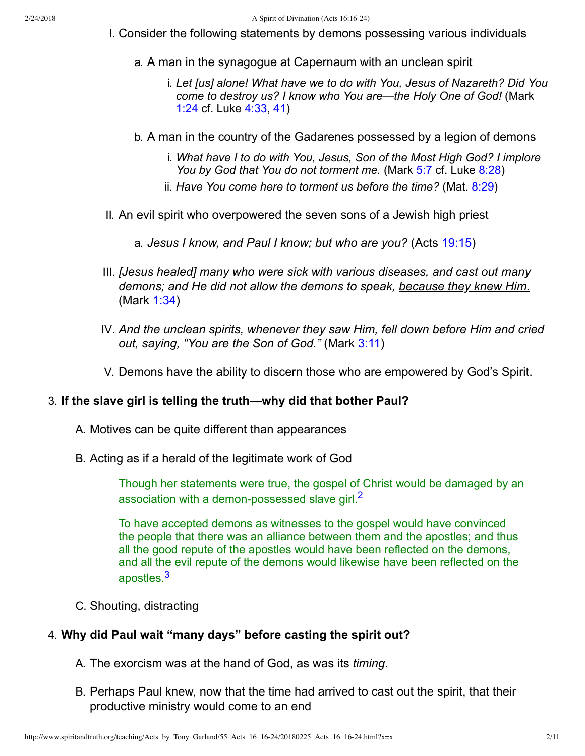- I. Consider the following statements by demons possessing various individuals
	- a. A man in the synagogue at Capernaum with an unclean spirit
		- i. *Let [us] alone! What have we to do with You, Jesus of Nazareth? Did You come to destroy us? I know who You are—the Holy One of God!* (Mark [1:24](http://www.spiritandtruth.org/bibles/nasb/b41c001.htm#Mark_C1V24) cf. Luke [4:33](http://www.spiritandtruth.org/bibles/nasb/b42c004.htm#Luke_C4V33), [41\)](http://www.spiritandtruth.org/bibles/nasb/b42c004.htm#Luke_C4V41)
	- b. A man in the country of the Gadarenes possessed by a legion of demons
		- i. *What have I to do with You, Jesus, Son of the Most High God? I implore You by God that You do not torment me.* (Mark [5:7](http://www.spiritandtruth.org/bibles/nasb/b41c005.htm#Mark_C5V7) cf. Luke [8:28\)](http://www.spiritandtruth.org/bibles/nasb/b42c008.htm#Luke_C8V28)
		- ii. *Have You come here to torment us before the time?* (Mat. [8:29](http://www.spiritandtruth.org/bibles/nasb/b40c008.htm#Mat._C8V29))
- II. An evil spirit who overpowered the seven sons of a Jewish high priest
	- a. *Jesus I know, and Paul I know; but who are you?* (Acts [19:15\)](http://www.spiritandtruth.org/bibles/nasb/b44c019.htm#Acts_C19V15)
- III. *[Jesus healed] many who were sick with various diseases, and cast out many demons; and He did not allow the demons to speak, because they knew Him.* (Mark [1:34](http://www.spiritandtruth.org/bibles/nasb/b41c001.htm#Mark_C1V34))
- IV. *And the unclean spirits, whenever they saw Him, fell down before Him and cried out, saying, "You are the Son of God."* (Mark [3:11\)](http://www.spiritandtruth.org/bibles/nasb/b41c003.htm#Mark_C3V11)
- V. Demons have the ability to discern those who are empowered by God's Spirit.

#### 3. **If the slave girl is telling the truth—why did that bother Paul?**

- A. Motives can be quite different than appearances
- B. Acting as if a herald of the legitimate work of God

<span id="page-1-0"></span>Though her statements were true, the gospel of Christ would be damaged by an association with a demon-possessed slave girl. $<sup>2</sup>$  $<sup>2</sup>$  $<sup>2</sup>$ </sup>

<span id="page-1-1"></span>To have accepted demons as witnesses to the gospel would have convinced the people that there was an alliance between them and the apostles; and thus all the good repute of the apostles would have been reflected on the demons, and all the evil repute of the demons would likewise have been reflected on the apostles.[3](#page-9-2)

C. Shouting, distracting

#### 4. **Why did Paul wait "many days" before casting the spirit out?**

- A. The exorcism was at the hand of God, as was its *timing*.
- B. Perhaps Paul knew, now that the time had arrived to cast out the spirit, that their productive ministry would come to an end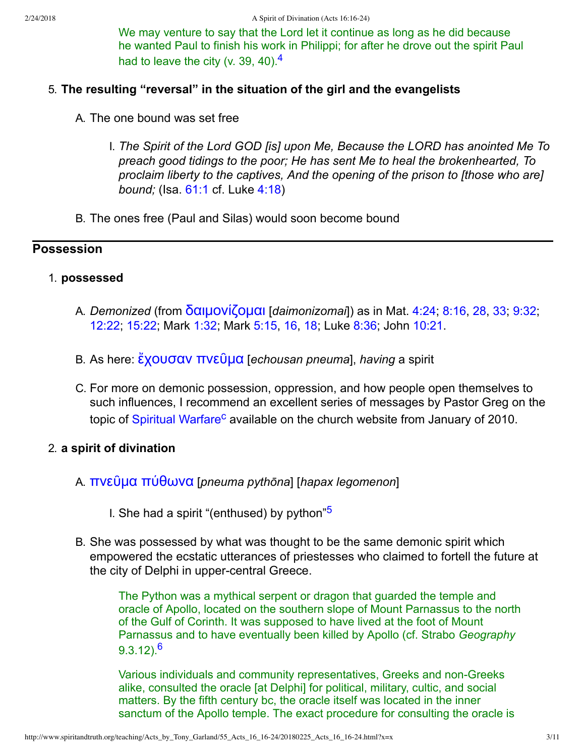<span id="page-2-0"></span>We may venture to say that the Lord let it continue as long as he did because he wanted Paul to finish his work in Philippi; for after he drove out the spirit Paul had to leave the city (v. 39, [4](#page-9-3)0). $4$ 

## 5. **The resulting "reversal" in the situation of the girl and the evangelists**

- A. The one bound was set free
	- I. *The Spirit of the Lord GOD [is] upon Me, Because the LORD has anointed Me To preach good tidings to the poor; He has sent Me to heal the brokenhearted, To proclaim liberty to the captives, And the opening of the prison to [those who are] bound;* (Isa. [61:1](http://www.spiritandtruth.org/bibles/nasb/b23c061.htm#Isa._C61V1) cf. Luke [4:18](http://www.spiritandtruth.org/bibles/nasb/b42c004.htm#Luke_C4V18))
- B. The ones free (Paul and Silas) would soon become bound

## **Possession**

### 1. **possessed**

- A. *Demonized* (from δαιμονίζομαι [daimonizomai]) as in Mat. [4:24;](http://www.spiritandtruth.org/bibles/nasb/b40c004.htm#Mat._C4V24) [8:16](http://www.spiritandtruth.org/bibles/nasb/b40c008.htm#Mat._C8V16), [28](http://www.spiritandtruth.org/bibles/nasb/b40c008.htm#Mat._C8V28), [33](http://www.spiritandtruth.org/bibles/nasb/b40c008.htm#Mat._C8V33); [9:32;](http://www.spiritandtruth.org/bibles/nasb/b40c009.htm#Mat._C9V32) [12:22;](http://www.spiritandtruth.org/bibles/nasb/b40c012.htm#Mat._C12V22) [15:22](http://www.spiritandtruth.org/bibles/nasb/b40c015.htm#Mat._C15V22); Mark [1:32](http://www.spiritandtruth.org/bibles/nasb/b41c001.htm#Mark_C1V32); Mark [5:15](http://www.spiritandtruth.org/bibles/nasb/b41c005.htm#Mark_C5V15), [16](http://www.spiritandtruth.org/bibles/nasb/b41c005.htm#Mark_C5V16), [18](http://www.spiritandtruth.org/bibles/nasb/b41c005.htm#Mark_C5V18); Luke [8:36](http://www.spiritandtruth.org/bibles/nasb/b42c008.htm#Luke_C8V36); John [10:21.](http://www.spiritandtruth.org/bibles/nasb/b43c010.htm#John_C10V21)
- B. As here: *ἔχουσαν πνεῦμα* [*echousan pneuma*], *having* a spirit
- <span id="page-2-3"></span>C. For more on demonic possession, oppression, and how people open themselves to such influences, I recommend an excellent series of messages by Pastor Greg on the topic of [Spiritual Warfare](http://www.mabanachapel.org/teaching/index.html#20100103)<sup>[c](#page-10-2)</sup> available on the church website from January of 2010.

### 2. **a spirit of divination**

- A. [˭˪ˢῦ˩α ˭ύ˥ω˪α](http://www.spiritandtruth.org/fontsu/index.htm) [*pneuma pythōna*] [*hapax legomenon*]
	- I. She had a spirit "(enthused) by python"<sup>[5](#page-9-4)</sup>
- B. She was possessed by what was thought to be the same demonic spirit which empowered the ecstatic utterances of priestesses who claimed to fortell the future at the city of Delphi in upper-central Greece.

<span id="page-2-1"></span>The Python was a mythical serpent or dragon that guarded the temple and oracle of Apollo, located on the southern slope of Mount Parnassus to the north of the Gulf of Corinth. It was supposed to have lived at the foot of Mount Parnassus and to have eventually been killed by Apollo (cf. Strabo *Geography*  $9.3.12$ <sup>[6](#page-9-5)</sup>

<span id="page-2-2"></span>Various individuals and community representatives, Greeks and non-Greeks alike, consulted the oracle [at Delphi] for political, military, cultic, and social matters. By the fifth century bc, the oracle itself was located in the inner sanctum of the Apollo temple. The exact procedure for consulting the oracle is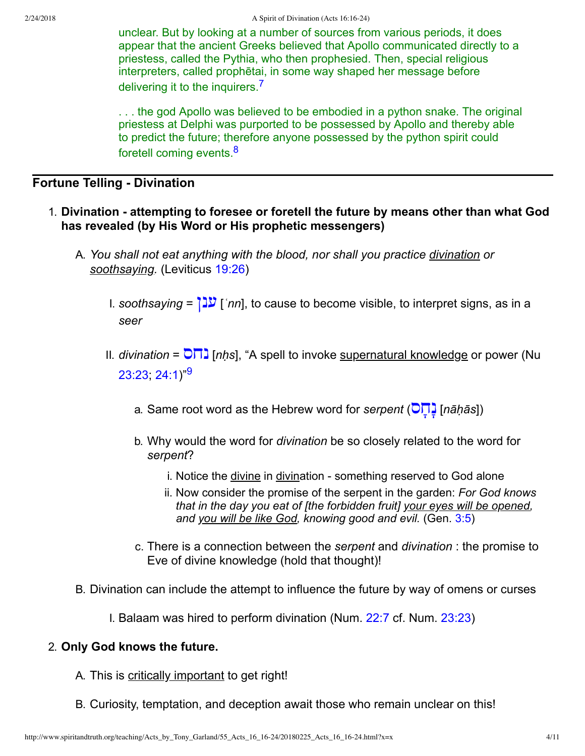unclear. But by looking at a number of sources from various periods, it does appear that the ancient Greeks believed that Apollo communicated directly to a priestess, called the Pythia, who then prophesied. Then, special religious interpreters, called prophētai, in some way shaped her message before delivering it to the inquirers.<sup>[7](#page-9-6)</sup>

<span id="page-3-1"></span><span id="page-3-0"></span>. . . the god Apollo was believed to be embodied in a python snake. The original priestess at Delphi was purported to be possessed by Apollo and thereby able to predict the future; therefore anyone possessed by the python spirit could foretell coming events.<sup>[8](#page-10-3)</sup>

## **Fortune Telling - Divination**

- <span id="page-3-2"></span>1. **Divination attempting to foresee or foretell the future by means other than what God has revealed (by His Word or His prophetic messengers)**
	- A. *You shall not eat anything with the blood, nor shall you practice divination or soothsaying.* (Leviticus [19:26\)](http://www.spiritandtruth.org/bibles/nasb/b03c019.htm#Lev._C19V26)
		- I. *soothsaying* =  $\sqrt{2}$  [*`nn*], to cause to become visible, to interpret signs, as in a *seer*
		- II. *divination* =  $\overline{O} \overline{D}$  [*nḥs*], "A spell to invoke <u>supernatural knowledge</u> or power (Nu  $23:23:24:1"^{9}$  $23:23:24:1"^{9}$  $23:23:24:1"^{9}$ 
			- a. Same root word as the Hebrew word for *serpent* ( $\overline{O} \overline{I}$ ] [*nāḥās*])
			- b. Why would the word for *divination* be so closely related to the word for *serpent*?
				- i. Notice the divine in divination something reserved to God alone
				- ii. Now consider the promise of the serpent in the garden: *For God knows that in the day you eat of [the forbidden fruit] your eyes will be opened, and you will be like God, knowing good and evil.* (Gen. [3:5](http://www.spiritandtruth.org/bibles/nasb/b01c003.htm#Gen._C3V5))
			- c. There is a connection between the *serpent* and *divination* : the promise to Eve of divine knowledge (hold that thought)!
	- B. Divination can include the attempt to influence the future by way of omens or curses
		- I. Balaam was hired to perform divination (Num. [22:7](http://www.spiritandtruth.org/bibles/nasb/b04c022.htm#Num._C22V7) cf. Num. [23:23](http://www.spiritandtruth.org/bibles/nasb/b04c023.htm#Num._C23V23))

### 2. **Only God knows the future.**

- A. This is critically important to get right!
- B. Curiosity, temptation, and deception await those who remain unclear on this!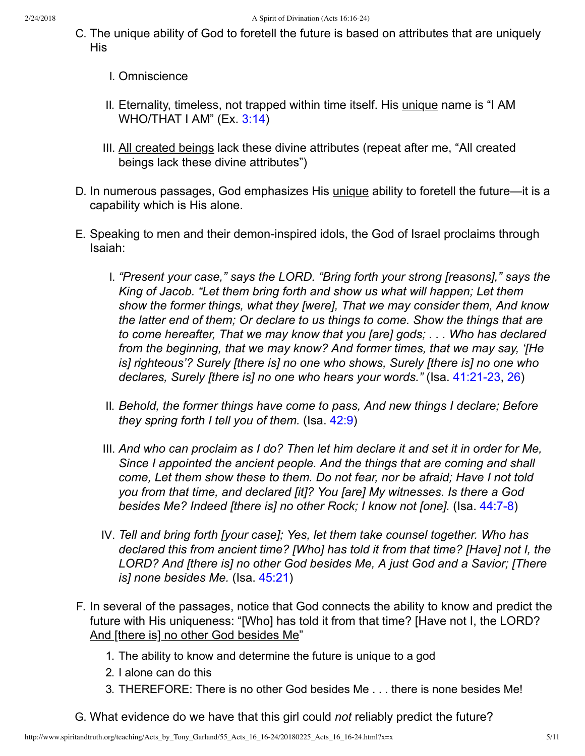- C. The unique ability of God to foretell the future is based on attributes that are uniquely His
	- I. Omniscience
	- II. Eternality, timeless, not trapped within time itself. His *unique* name is "I AM WHO/THAT I AM" (Ex. [3:14\)](http://www.spiritandtruth.org/bibles/nasb/b02c003.htm#Ex._C3V14)
	- III. All created beings lack these divine attributes (repeat after me, "All created beings lack these divine attributes")
- D. In numerous passages, God emphasizes His unique ability to foretell the future—it is a capability which is His alone.
- E. Speaking to men and their demon-inspired idols, the God of Israel proclaims through Isaiah:
	- I. *"Present your case," says the LORD. "Bring forth your strong [reasons]," says the King of Jacob. "Let them bring forth and show us what will happen; Let them show the former things, what they [were], That we may consider them, And know the latter end of them; Or declare to us things to come. Show the things that are to come hereafter, That we may know that you [are] gods; . . . Who has declared from the beginning, that we may know? And former times, that we may say, '[He is] righteous'? Surely [there is] no one who shows, Surely [there is] no one who declares, Surely [there is] no one who hears your words.*" (Isa. 41:21-23, [26](http://www.spiritandtruth.org/bibles/nasb/b23c041.htm#Isa._C41V26))
	- II. *Behold, the former things have come to pass, And new things I declare; Before they spring forth I tell you of them.* (Isa. [42:9\)](http://www.spiritandtruth.org/bibles/nasb/b23c042.htm#Isa._C42V9)
	- III. *And who can proclaim as I do? Then let him declare it and set it in order for Me, Since I appointed the ancient people. And the things that are coming and shall come, Let them show these to them. Do not fear, nor be afraid; Have I not told you from that time, and declared [it]? You [are] My witnesses. Is there a God besides Me? Indeed [there is] no other Rock; I know not [one].* (Isa. 44:7-8)
	- IV. *Tell and bring forth [your case]; Yes, let them take counsel together. Who has declared this from ancient time? [Who] has told it from that time? [Have] not I, the LORD? And [there is] no other God besides Me, A just God and a Savior; [There is] none besides Me.* (Isa. [45:21\)](http://www.spiritandtruth.org/bibles/nasb/b23c045.htm#Isa._C45V21)
- F. In several of the passages, notice that God connects the ability to know and predict the future with His uniqueness: "[Who] has told it from that time? [Have not I, the LORD? And [there is] no other God besides Me"
	- 1. The ability to know and determine the future is unique to a god
	- 2. I alone can do this
	- 3. THEREFORE: There is no other God besides Me . . . there is none besides Me!
- G. What evidence do we have that this girl could *not* reliably predict the future?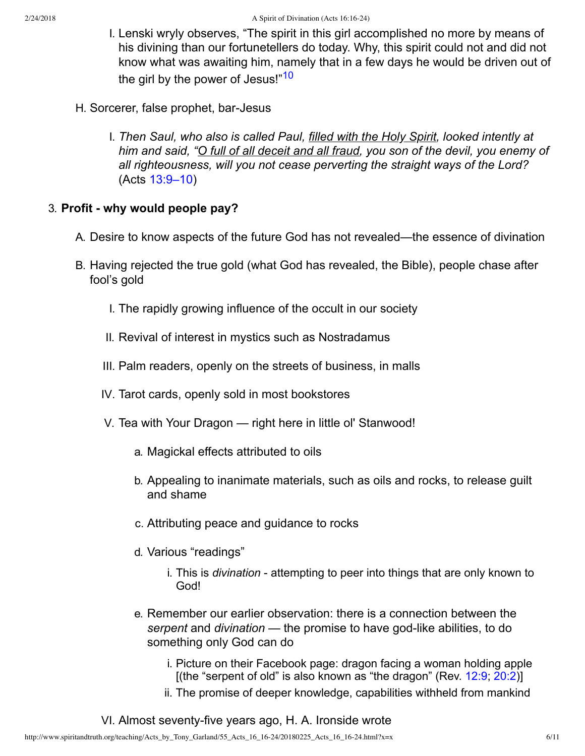- <span id="page-5-0"></span>I. Lenski wryly observes, "The spirit in this girl accomplished no more by means of his divining than our fortunetellers do today. Why, this spirit could not and did not know what was awaiting him, namely that in a few days he would be driven out of the girl by the power of Jesus!"<sup>[10](#page-10-5)</sup>
- H. Sorcerer, false prophet, bar-Jesus
	- I. *Then Saul, who also is called Paul, filled with the Holy Spirit, looked intently at him and said, "O full of all deceit and all fraud, you son of the devil, you enemy of all righteousness, will you not cease perverting the straight ways of the Lord?* (Acts [13:9–10\)](http://www.spiritandtruth.org/bibles/nasb/b44c013.htm#Acts_C13V9)

## 3. **Profit why would people pay?**

- A. Desire to know aspects of the future God has not revealed—the essence of divination
- B. Having rejected the true gold (what God has revealed, the Bible), people chase after fool's gold
	- I. The rapidly growing influence of the occult in our society
	- II. Revival of interest in mystics such as Nostradamus
	- III. Palm readers, openly on the streets of business, in malls
	- IV. Tarot cards, openly sold in most bookstores
	- V. Tea with Your Dragon right here in little ol' Stanwood!
		- a. Magickal effects attributed to oils
		- b. Appealing to inanimate materials, such as oils and rocks, to release guilt and shame
		- c. Attributing peace and guidance to rocks
		- d. Various "readings"
			- i. This is *divination* attempting to peer into things that are only known to God!
		- e. Remember our earlier observation: there is a connection between the serpent and *divination* — the promise to have god-like abilities, to do something only God can do
			- i. Picture on their Facebook page: dragon facing a woman holding apple [(the "serpent of old" is also known as "the dragon" (Rev. [12:9;](http://www.spiritandtruth.org/bibles/nasb/b66c012.htm#Rev._C12V9) [20:2\)](http://www.spiritandtruth.org/bibles/nasb/b66c020.htm#Rev._C20V2)]
			- ii. The promise of deeper knowledge, capabilities withheld from mankind
	- VI. Almost seventy-five years ago, H. A. Ironside wrote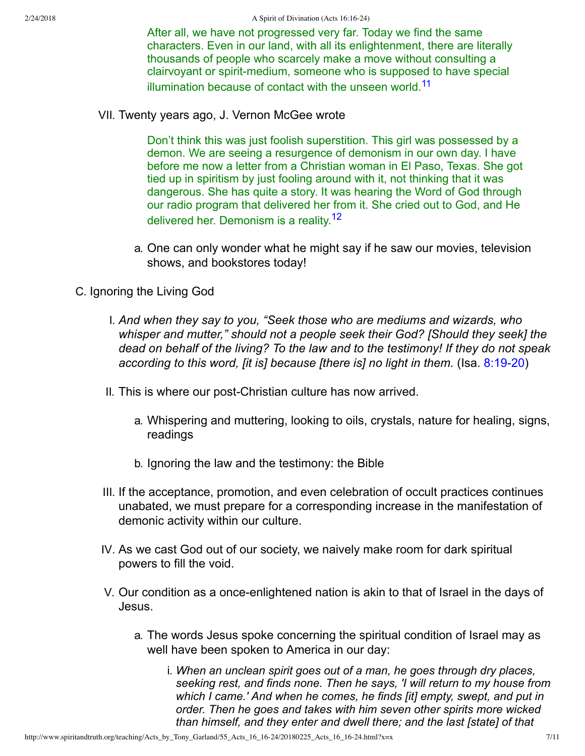<span id="page-6-0"></span>After all, we have not progressed very far. Today we find the same characters. Even in our land, with all its enlightenment, there are literally thousands of people who scarcely make a move without consulting a clairvoyant or spirit-medium, someone who is supposed to have special illumination because of contact with the unseen world.<sup>[11](#page-10-6)</sup>

VII. Twenty years ago, J. Vernon McGee wrote

<span id="page-6-1"></span>Don't think this was just foolish superstition. This girl was possessed by a demon. We are seeing a resurgence of demonism in our own day. I have before me now a letter from a Christian woman in El Paso, Texas. She got tied up in spiritism by just fooling around with it, not thinking that it was dangerous. She has quite a story. It was hearing the Word of God through our radio program that delivered her from it. She cried out to God, and He delivered her. Demonism is a reality.<sup>[12](#page-10-7)</sup>

- a. One can only wonder what he might say if he saw our movies, television shows, and bookstores today!
- C. Ignoring the Living God
	- I. *And when they say to you, "Seek those who are mediums and wizards, who whisper and mutter," should not a people seek their God? [Should they seek] the dead on behalf of the living? To the law and to the testimony! If they do not speak* according to this word, [it is] because [there is] no light in them. (Isa. 8:19-20)
	- II. This is where our post-Christian culture has now arrived.
		- a. Whispering and muttering, looking to oils, crystals, nature for healing, signs, readings
		- b. Ignoring the law and the testimony: the Bible
	- III. If the acceptance, promotion, and even celebration of occult practices continues unabated, we must prepare for a corresponding increase in the manifestation of demonic activity within our culture.
	- IV. As we cast God out of our society, we naively make room for dark spiritual powers to fill the void.
	- V. Our condition as a once-enlightened nation is akin to that of Israel in the days of Jesus.
		- a. The words Jesus spoke concerning the spiritual condition of Israel may as well have been spoken to America in our day:
			- i. *When an unclean spirit goes out of a man, he goes through dry places, seeking rest, and finds none. Then he says, 'I will return to my house from which I came.' And when he comes, he finds [it] empty, swept, and put in order. Then he goes and takes with him seven other spirits more wicked than himself, and they enter and dwell there; and the last [state] of that*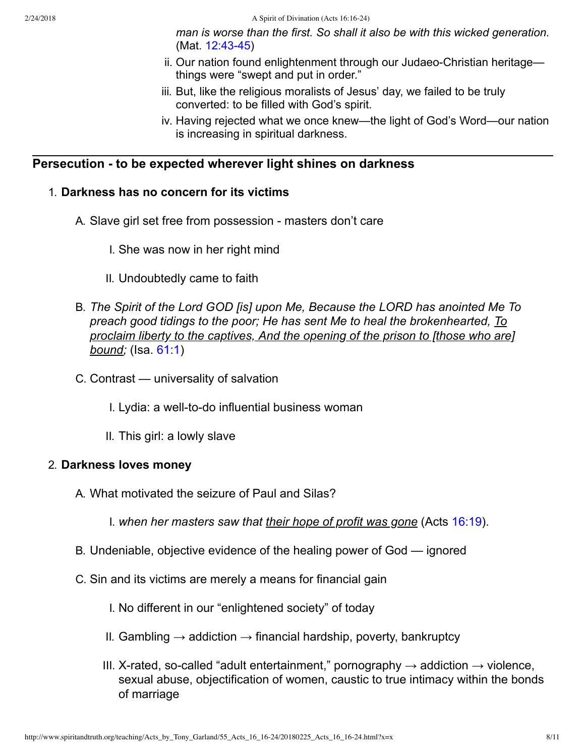2/24/2018 A Spirit of Divination (Acts 16:16-24)

*man is worse than the first. So shall it also be with this wicked generation.*  $(Mat. 12:43-45)$ 

- ii. Our nation found enlightenment through our Judaeo-Christian heritagethings were "swept and put in order."
- iii. But, like the religious moralists of Jesus' day, we failed to be truly converted: to be filled with God's spirit.
- iv. Having rejected what we once knew—the light of God's Word—our nation is increasing in spiritual darkness.

## **Persecution to be expected wherever light shines on darkness**

### 1. **Darkness has no concern for its victims**

- A. Slave girl set free from possession masters don't care
	- I. She was now in her right mind
	- II. Undoubtedly came to faith
- B. *The Spirit of the Lord GOD [is] upon Me, Because the LORD has anointed Me To preach good tidings to the poor; He has sent Me to heal the brokenhearted, To proclaim liberty to the captives, And the opening of the prison to [those who are] bound;* (Isa. [61:1\)](http://www.spiritandtruth.org/bibles/nasb/b23c061.htm#Isa._C61V1)
- C. Contrast universality of salvation
	- I. Lydia: a well-to-do influential business woman
	- II. This girl: a lowly slave

#### 2. **Darkness loves money**

A. What motivated the seizure of Paul and Silas?

I. *when her masters saw that their hope of profit was gone* (Acts [16:19\)](http://www.spiritandtruth.org/bibles/nasb/b44c016.htm#Acts_C16V19).

- B. Undeniable, objective evidence of the healing power of God ignored
- C. Sin and its victims are merely a means for financial gain
	- I. No different in our "enlightened society" of today
	- II. Gambling  $\rightarrow$  addiction  $\rightarrow$  financial hardship, poverty, bankruptcy
	- III. X-rated, so-called "adult entertainment," pornography  $\rightarrow$  addiction  $\rightarrow$  violence, sexual abuse, objectification of women, caustic to true intimacy within the bonds of marriage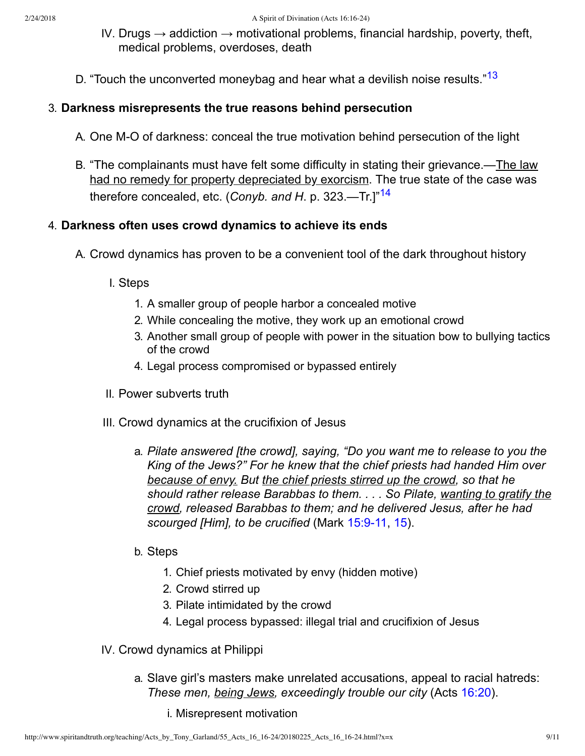- <span id="page-8-0"></span>IV. Drugs  $\rightarrow$  addiction  $\rightarrow$  motivational problems, financial hardship, poverty, theft, medical problems, overdoses, death
- D. "Touch the unconverted moneybag and hear what a devilish noise results."<sup>[13](#page-10-8)</sup>

### 3. **Darkness misrepresents the true reasons behind persecution**

- A. One M-O of darkness: conceal the true motivation behind persecution of the light
- <span id="page-8-1"></span>B. "The complainants must have felt some difficulty in stating their grievance.—The law had no remedy for property depreciated by exorcism. The true state of the case was therefore concealed, etc. (*Conyb. and H*. p. 323.—Tr.]"[14](#page-10-9)

## 4. **Darkness often uses crowd dynamics to achieve its ends**

- A. Crowd dynamics has proven to be a convenient tool of the dark throughout history
	- I. Steps
		- 1. A smaller group of people harbor a concealed motive
		- 2. While concealing the motive, they work up an emotional crowd
		- 3. Another small group of people with power in the situation bow to bullying tactics of the crowd
		- 4. Legal process compromised or bypassed entirely
	- II. Power subverts truth
	- III. Crowd dynamics at the crucifixion of Jesus
		- a. *Pilate answered [the crowd], saying, "Do you want me to release to you the King of the Jews?" For he knew that the chief priests had handed Him over because of envy. But the chief priests stirred up the crowd, so that he should rather release Barabbas to them. . . . So Pilate, wanting to gratify the crowd, released Barabbas to them; and he delivered Jesus, after he had* scourged [Him], to be crucified (Mark 15:9-11, [15\)](http://www.spiritandtruth.org/bibles/nasb/b41c015.htm#Mark_C15V15).
		- b. Steps
			- 1. Chief priests motivated by envy (hidden motive)
			- 2. Crowd stirred up
			- 3. Pilate intimidated by the crowd
			- 4. Legal process bypassed: illegal trial and crucifixion of Jesus
	- IV. Crowd dynamics at Philippi
		- a. Slave girl's masters make unrelated accusations, appeal to racial hatreds: *These men, being Jews, exceedingly trouble our city* (Acts [16:20](http://www.spiritandtruth.org/bibles/nasb/b44c016.htm#Acts_C16V20)).
			- i. Misrepresent motivation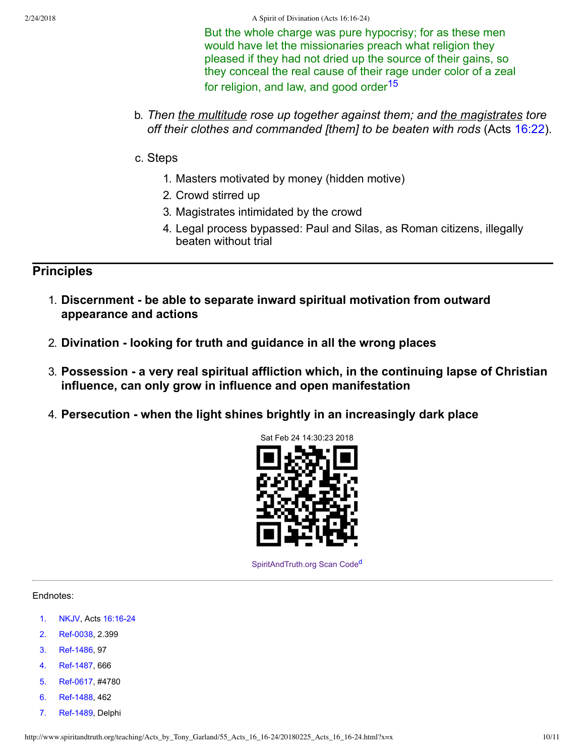2/24/2018 A Spirit of Divination (Acts 16:16-24)

<span id="page-9-7"></span>But the whole charge was pure hypocrisy; for as these men would have let the missionaries preach what religion they pleased if they had not dried up the source of their gains, so they conceal the real cause of their rage under color of a zeal for religion, and law, and good order<sup>[15](#page-10-10)</sup>

- b. *Then the multitude rose up together against them; and the magistrates tore off their clothes and commanded [them] to be beaten with rods* (Acts [16:22](http://www.spiritandtruth.org/bibles/nasb/b44c016.htm#Acts_C16V22)).
- c. Steps
	- 1. Masters motivated by money (hidden motive)
	- 2. Crowd stirred up
	- 3. Magistrates intimidated by the crowd
	- 4. Legal process bypassed: Paul and Silas, as Roman citizens, illegally beaten without trial

**Principles**

- 1. **Discernment be able to separate inward spiritual motivation from outward appearance and actions**
- 2. **Divination looking for truth and guidance in all the wrong places**
- 3. **Possession a very real spiritual affliction which, in the continuing lapse of Christian influence, can only grow in influence and open manifestation**
- 4. **Persecution when the light shines brightly in an increasingly dark place**



<span id="page-9-8"></span>[SpiritAndTruth.org Scan Code](http://www.spiritandtruth.org/)<sup>[d](#page-10-11)</sup>

#### Endnotes:

- <span id="page-9-0"></span>[1.](#page-0-0) [NKJV,](#page-10-12) Acts 16:16-24
- <span id="page-9-1"></span>[2.](#page-1-0) Ref-0038, 2.399
- <span id="page-9-2"></span>[3.](#page-1-1) Ref-1486, 97
- <span id="page-9-3"></span>[4.](#page-2-0) Ref-1487, 666
- <span id="page-9-4"></span>[5.](#page-2-1) Ref-0617, #4780
- <span id="page-9-5"></span>[6.](#page-2-2) Ref-1488, 462
- <span id="page-9-6"></span>[7.](#page-3-0) Ref-1489, Delphi